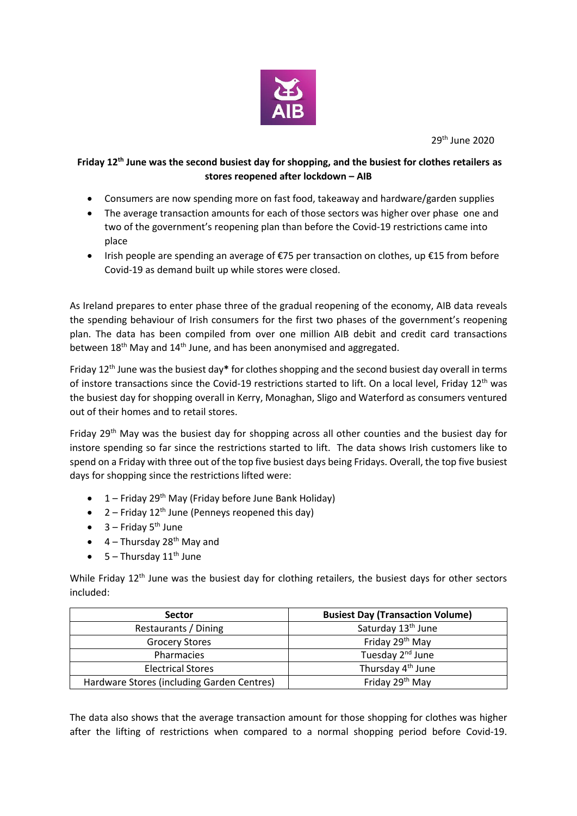

29th June 2020

## **Friday 12th June was the second busiest day for shopping, and the busiest for clothes retailers as stores reopened after lockdown – AIB**

- Consumers are now spending more on fast food, takeaway and hardware/garden supplies
- The average transaction amounts for each of those sectors was higher over phase one and two of the government's reopening plan than before the Covid-19 restrictions came into place
- Irish people are spending an average of  $€75$  per transaction on clothes, up  $€15$  from before Covid-19 as demand built up while stores were closed.

As Ireland prepares to enter phase three of the gradual reopening of the economy, AIB data reveals the spending behaviour of Irish consumers for the first two phases of the government's reopening plan. The data has been compiled from over one million AIB debit and credit card transactions between 18<sup>th</sup> May and 14<sup>th</sup> June, and has been anonymised and aggregated.

Friday 12th June was the busiest day**\*** for clothes shopping and the second busiest day overall in terms of instore transactions since the Covid-19 restrictions started to lift. On a local level, Friday 12<sup>th</sup> was the busiest day for shopping overall in Kerry, Monaghan, Sligo and Waterford as consumers ventured out of their homes and to retail stores.

Friday 29<sup>th</sup> May was the busiest day for shopping across all other counties and the busiest day for instore spending so far since the restrictions started to lift. The data shows Irish customers like to spend on a Friday with three out of the top five busiest days being Fridays. Overall, the top five busiest days for shopping since the restrictions lifted were:

- $\bullet$  1 Friday 29<sup>th</sup> May (Friday before June Bank Holiday)
- 2 Friday  $12^{th}$  June (Penneys reopened this day)
- $\bullet$  3 Friday 5<sup>th</sup> June
- $\bullet$  4 Thursday 28<sup>th</sup> May and
- $\bullet$  5 Thursday 11<sup>th</sup> June

While Friday 12<sup>th</sup> June was the busiest day for clothing retailers, the busiest days for other sectors included:

| <b>Sector</b>                              | <b>Busiest Day (Transaction Volume)</b> |
|--------------------------------------------|-----------------------------------------|
| Restaurants / Dining                       | Saturday 13 <sup>th</sup> June          |
| <b>Grocery Stores</b>                      | Friday 29 <sup>th</sup> May             |
| Pharmacies                                 | Tuesday 2 <sup>nd</sup> June            |
| <b>Electrical Stores</b>                   | Thursday 4 <sup>th</sup> June           |
| Hardware Stores (including Garden Centres) | Friday 29th May                         |

The data also shows that the average transaction amount for those shopping for clothes was higher after the lifting of restrictions when compared to a normal shopping period before Covid-19.